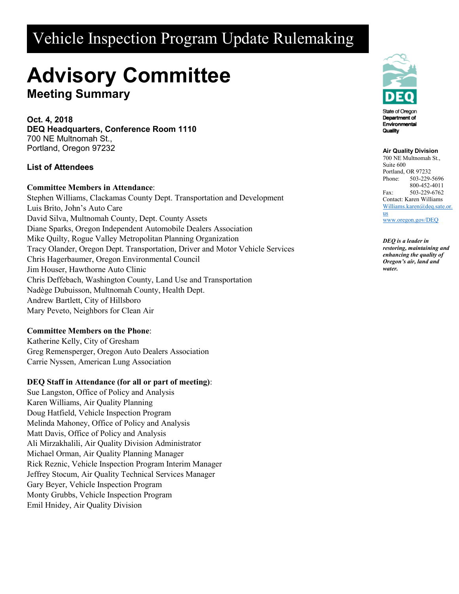# Vehicle Inspection Program Update Rulemaking

# **Advisory Committee**

**Meeting Summary**

**Oct. 4, 2018 DEQ Headquarters, Conference Room 1110** 700 NE Multnomah St., Portland, Oregon 97232

# **List of Attendees**

# **Committee Members in Attendance**:

Stephen Williams, Clackamas County Dept. Transportation and Development Luis Brito, John's Auto Care David Silva, Multnomah County, Dept. County Assets Diane Sparks, Oregon Independent Automobile Dealers Association Mike Quilty, Rogue Valley Metropolitan Planning Organization Tracy Olander, Oregon Dept. Transportation, Driver and Motor Vehicle Services Chris Hagerbaumer, Oregon Environmental Council Jim Houser, Hawthorne Auto Clinic Chris Deffebach, Washington County, Land Use and Transportation Nadège Dubuisson, Multnomah County, Health Dept. Andrew Bartlett, City of Hillsboro Mary Peveto, Neighbors for Clean Air

#### **Committee Members on the Phone**:

Katherine Kelly, City of Gresham Greg Remensperger, Oregon Auto Dealers Association Carrie Nyssen, American Lung Association

# **DEQ Staff in Attendance (for all or part of meeting)**:

Sue Langston, Office of Policy and Analysis Karen Williams, Air Quality Planning Doug Hatfield, Vehicle Inspection Program Melinda Mahoney, Office of Policy and Analysis Matt Davis, Office of Policy and Analysis Ali Mirzakhalili, Air Quality Division Administrator Michael Orman, Air Quality Planning Manager Rick Reznic, Vehicle Inspection Program Interim Manager Jeffrey Stocum, Air Quality Technical Services Manager Gary Beyer, Vehicle Inspection Program Monty Grubbs, Vehicle Inspection Program Emil Hnidey, Air Quality Division



#### **Air Quality Division**

700 NE Multnomah St., Suite 600 Portland, OR 97232 Phone: 503-229-5696 800-452-4011 Fax: 503-229-6762 Contact: Karen Williams [Williams.karen@deq.sate.or.](mailto:Williams.karen@deq.sate.or.us) [us](mailto:Williams.karen@deq.sate.or.us)

[www.oregon.gov/DEQ](file://deq001/templates/General/www.oregon.gov/DEQ)

*DEQ is a leader in restoring, maintaining and enhancing the quality of Oregon's air, land and water.*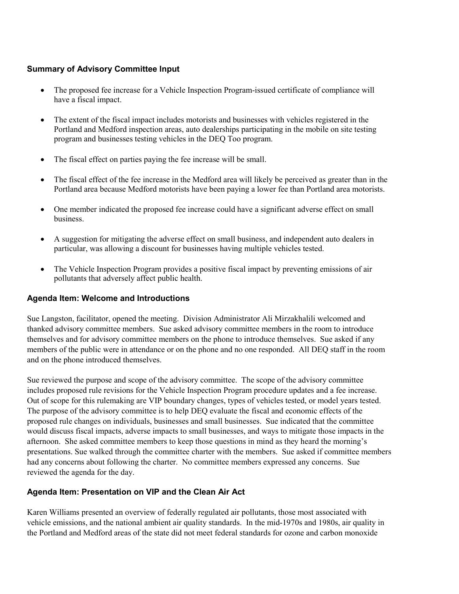# **Summary of Advisory Committee Input**

- The proposed fee increase for a Vehicle Inspection Program-issued certificate of compliance will have a fiscal impact.
- The extent of the fiscal impact includes motorists and businesses with vehicles registered in the Portland and Medford inspection areas, auto dealerships participating in the mobile on site testing program and businesses testing vehicles in the DEQ Too program.
- The fiscal effect on parties paying the fee increase will be small.
- The fiscal effect of the fee increase in the Medford area will likely be perceived as greater than in the Portland area because Medford motorists have been paying a lower fee than Portland area motorists.
- One member indicated the proposed fee increase could have a significant adverse effect on small business.
- A suggestion for mitigating the adverse effect on small business, and independent auto dealers in particular, was allowing a discount for businesses having multiple vehicles tested.
- The Vehicle Inspection Program provides a positive fiscal impact by preventing emissions of air pollutants that adversely affect public health.

#### **Agenda Item: Welcome and Introductions**

Sue Langston, facilitator, opened the meeting. Division Administrator Ali Mirzakhalili welcomed and thanked advisory committee members. Sue asked advisory committee members in the room to introduce themselves and for advisory committee members on the phone to introduce themselves. Sue asked if any members of the public were in attendance or on the phone and no one responded. All DEQ staff in the room and on the phone introduced themselves.

Sue reviewed the purpose and scope of the advisory committee. The scope of the advisory committee includes proposed rule revisions for the Vehicle Inspection Program procedure updates and a fee increase. Out of scope for this rulemaking are VIP boundary changes, types of vehicles tested, or model years tested. The purpose of the advisory committee is to help DEQ evaluate the fiscal and economic effects of the proposed rule changes on individuals, businesses and small businesses. Sue indicated that the committee would discuss fiscal impacts, adverse impacts to small businesses, and ways to mitigate those impacts in the afternoon. She asked committee members to keep those questions in mind as they heard the morning's presentations. Sue walked through the committee charter with the members. Sue asked if committee members had any concerns about following the charter. No committee members expressed any concerns. Sue reviewed the agenda for the day.

# **Agenda Item: Presentation on VIP and the Clean Air Act**

Karen Williams presented an overview of federally regulated air pollutants, those most associated with vehicle emissions, and the national ambient air quality standards. In the mid-1970s and 1980s, air quality in the Portland and Medford areas of the state did not meet federal standards for ozone and carbon monoxide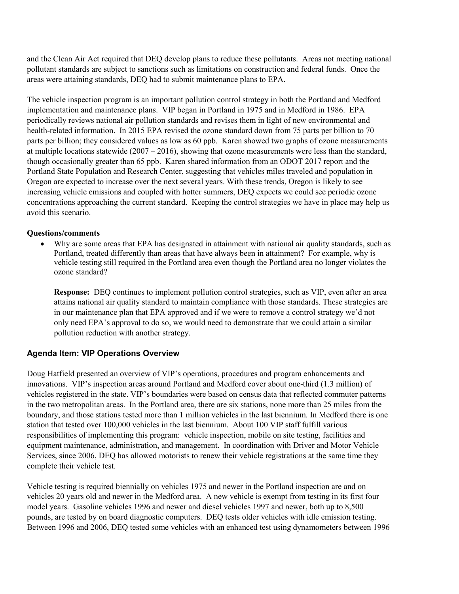and the Clean Air Act required that DEQ develop plans to reduce these pollutants. Areas not meeting national pollutant standards are subject to sanctions such as limitations on construction and federal funds. Once the areas were attaining standards, DEQ had to submit maintenance plans to EPA.

The vehicle inspection program is an important pollution control strategy in both the Portland and Medford implementation and maintenance plans. VIP began in Portland in 1975 and in Medford in 1986. EPA periodically reviews national air pollution standards and revises them in light of new environmental and health-related information. In 2015 EPA revised the ozone standard down from 75 parts per billion to 70 parts per billion; they considered values as low as 60 ppb. Karen showed two graphs of ozone measurements at multiple locations statewide  $(2007 - 2016)$ , showing that ozone measurements were less than the standard, though occasionally greater than 65 ppb. Karen shared information from an ODOT 2017 report and the Portland State Population and Research Center, suggesting that vehicles miles traveled and population in Oregon are expected to increase over the next several years. With these trends, Oregon is likely to see increasing vehicle emissions and coupled with hotter summers, DEQ expects we could see periodic ozone concentrations approaching the current standard. Keeping the control strategies we have in place may help us avoid this scenario.

#### **Questions/comments**

• Why are some areas that EPA has designated in attainment with national air quality standards, such as Portland, treated differently than areas that have always been in attainment? For example, why is vehicle testing still required in the Portland area even though the Portland area no longer violates the ozone standard?

**Response:** DEQ continues to implement pollution control strategies, such as VIP, even after an area attains national air quality standard to maintain compliance with those standards. These strategies are in our maintenance plan that EPA approved and if we were to remove a control strategy we'd not only need EPA's approval to do so, we would need to demonstrate that we could attain a similar pollution reduction with another strategy.

# **Agenda Item: VIP Operations Overview**

Doug Hatfield presented an overview of VIP's operations, procedures and program enhancements and innovations. VIP's inspection areas around Portland and Medford cover about one-third (1.3 million) of vehicles registered in the state. VIP's boundaries were based on census data that reflected commuter patterns in the two metropolitan areas. In the Portland area, there are six stations, none more than 25 miles from the boundary, and those stations tested more than 1 million vehicles in the last biennium. In Medford there is one station that tested over 100,000 vehicles in the last biennium. About 100 VIP staff fulfill various responsibilities of implementing this program: vehicle inspection, mobile on site testing, facilities and equipment maintenance, administration, and management. In coordination with Driver and Motor Vehicle Services, since 2006, DEQ has allowed motorists to renew their vehicle registrations at the same time they complete their vehicle test.

Vehicle testing is required biennially on vehicles 1975 and newer in the Portland inspection are and on vehicles 20 years old and newer in the Medford area. A new vehicle is exempt from testing in its first four model years. Gasoline vehicles 1996 and newer and diesel vehicles 1997 and newer, both up to 8,500 pounds, are tested by on board diagnostic computers. DEQ tests older vehicles with idle emission testing. Between 1996 and 2006, DEQ tested some vehicles with an enhanced test using dynamometers between 1996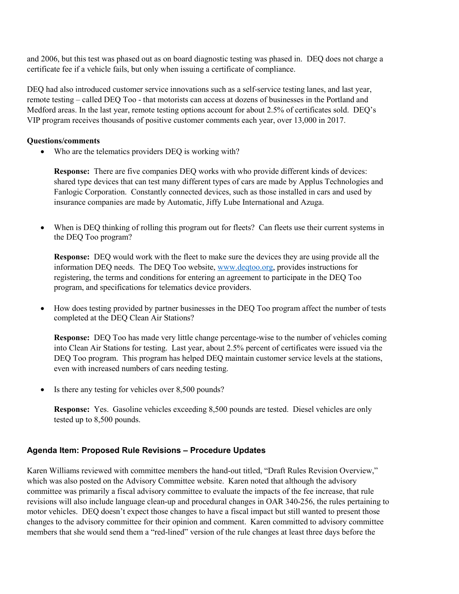and 2006, but this test was phased out as on board diagnostic testing was phased in. DEQ does not charge a certificate fee if a vehicle fails, but only when issuing a certificate of compliance.

DEQ had also introduced customer service innovations such as a self-service testing lanes, and last year, remote testing – called DEQ Too - that motorists can access at dozens of businesses in the Portland and Medford areas. In the last year, remote testing options account for about 2.5% of certificates sold. DEQ's VIP program receives thousands of positive customer comments each year, over 13,000 in 2017.

#### **Questions/comments**

• Who are the telematics providers DEQ is working with?

**Response:** There are five companies DEQ works with who provide different kinds of devices: shared type devices that can test many different types of cars are made by Applus Technologies and Fanlogic Corporation. Constantly connected devices, such as those installed in cars and used by insurance companies are made by Automatic, Jiffy Lube International and Azuga.

When is DEQ thinking of rolling this program out for fleets? Can fleets use their current systems in the DEQ Too program?

**Response:** DEQ would work with the fleet to make sure the devices they are using provide all the information DEQ needs. The DEQ Too website, [www.deqtoo.org,](http://www.deqtoo.org/) provides instructions for registering, the terms and conditions for entering an agreement to participate in the DEQ Too program, and specifications for telematics device providers.

• How does testing provided by partner businesses in the DEO Too program affect the number of tests completed at the DEQ Clean Air Stations?

**Response:** DEQ Too has made very little change percentage-wise to the number of vehicles coming into Clean Air Stations for testing. Last year, about 2.5% percent of certificates were issued via the DEQ Too program. This program has helped DEQ maintain customer service levels at the stations, even with increased numbers of cars needing testing.

Is there any testing for vehicles over 8,500 pounds?

**Response:** Yes. Gasoline vehicles exceeding 8,500 pounds are tested. Diesel vehicles are only tested up to 8,500 pounds.

# **Agenda Item: Proposed Rule Revisions – Procedure Updates**

Karen Williams reviewed with committee members the hand-out titled, "Draft Rules Revision Overview," which was also posted on the Advisory Committee website. Karen noted that although the advisory committee was primarily a fiscal advisory committee to evaluate the impacts of the fee increase, that rule revisions will also include language clean-up and procedural changes in OAR 340-256, the rules pertaining to motor vehicles. DEQ doesn't expect those changes to have a fiscal impact but still wanted to present those changes to the advisory committee for their opinion and comment. Karen committed to advisory committee members that she would send them a "red-lined" version of the rule changes at least three days before the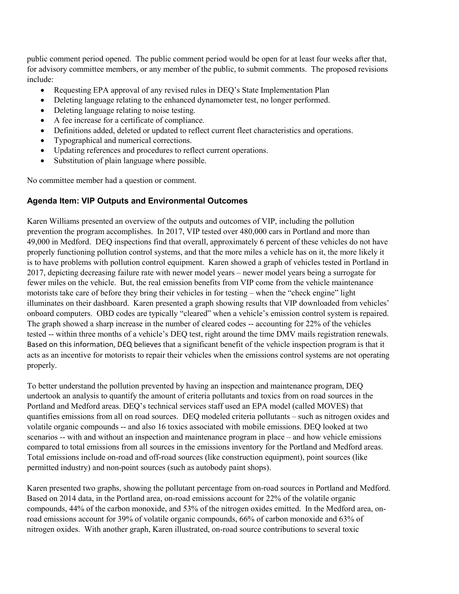public comment period opened. The public comment period would be open for at least four weeks after that, for advisory committee members, or any member of the public, to submit comments. The proposed revisions include:

- Requesting EPA approval of any revised rules in DEQ's State Implementation Plan
- Deleting language relating to the enhanced dynamometer test, no longer performed.
- Deleting language relating to noise testing.
- A fee increase for a certificate of compliance.
- Definitions added, deleted or updated to reflect current fleet characteristics and operations.
- Typographical and numerical corrections.
- Updating references and procedures to reflect current operations.
- Substitution of plain language where possible.

No committee member had a question or comment.

# **Agenda Item: VIP Outputs and Environmental Outcomes**

Karen Williams presented an overview of the outputs and outcomes of VIP, including the pollution prevention the program accomplishes. In 2017, VIP tested over 480,000 cars in Portland and more than 49,000 in Medford. DEQ inspections find that overall, approximately 6 percent of these vehicles do not have properly functioning pollution control systems, and that the more miles a vehicle has on it, the more likely it is to have problems with pollution control equipment. Karen showed a graph of vehicles tested in Portland in 2017, depicting decreasing failure rate with newer model years – newer model years being a surrogate for fewer miles on the vehicle. But, the real emission benefits from VIP come from the vehicle maintenance motorists take care of before they bring their vehicles in for testing – when the "check engine" light illuminates on their dashboard. Karen presented a graph showing results that VIP downloaded from vehicles' onboard computers. OBD codes are typically "cleared" when a vehicle's emission control system is repaired. The graph showed a sharp increase in the number of cleared codes -- accounting for 22% of the vehicles tested -- within three months of a vehicle's DEQ test, right around the time DMV mails registration renewals. Based on this information, DEQ believes that a significant benefit of the vehicle inspection program is that it acts as an incentive for motorists to repair their vehicles when the emissions control systems are not operating properly.

To better understand the pollution prevented by having an inspection and maintenance program, DEQ undertook an analysis to quantify the amount of criteria pollutants and toxics from on road sources in the Portland and Medford areas. DEQ's technical services staff used an EPA model (called MOVES) that quantifies emissions from all on road sources. DEQ modeled criteria pollutants – such as nitrogen oxides and volatile organic compounds -- and also 16 toxics associated with mobile emissions. DEQ looked at two scenarios -- with and without an inspection and maintenance program in place – and how vehicle emissions compared to total emissions from all sources in the emissions inventory for the Portland and Medford areas. Total emissions include on-road and off-road sources (like construction equipment), point sources (like permitted industry) and non-point sources (such as autobody paint shops).

Karen presented two graphs, showing the pollutant percentage from on-road sources in Portland and Medford. Based on 2014 data, in the Portland area, on-road emissions account for 22% of the volatile organic compounds, 44% of the carbon monoxide, and 53% of the nitrogen oxides emitted. In the Medford area, onroad emissions account for 39% of volatile organic compounds, 66% of carbon monoxide and 63% of nitrogen oxides. With another graph, Karen illustrated, on-road source contributions to several toxic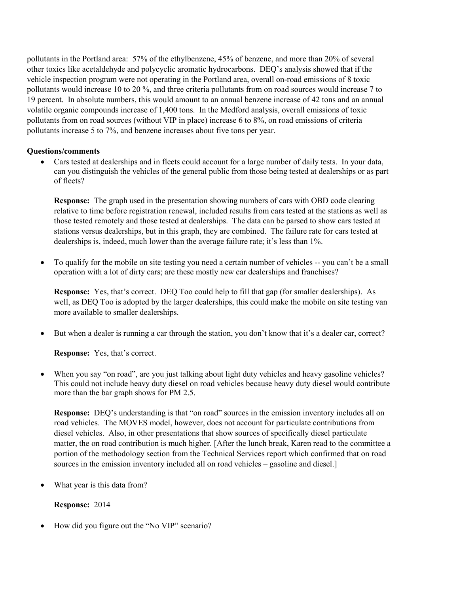pollutants in the Portland area: 57% of the ethylbenzene, 45% of benzene, and more than 20% of several other toxics like acetaldehyde and polycyclic aromatic hydrocarbons. DEQ's analysis showed that if the vehicle inspection program were not operating in the Portland area, overall on-road emissions of 8 toxic pollutants would increase 10 to 20 %, and three criteria pollutants from on road sources would increase 7 to 19 percent. In absolute numbers, this would amount to an annual benzene increase of 42 tons and an annual volatile organic compounds increase of 1,400 tons. In the Medford analysis, overall emissions of toxic pollutants from on road sources (without VIP in place) increase 6 to 8%, on road emissions of criteria pollutants increase 5 to 7%, and benzene increases about five tons per year.

#### **Questions/comments**

• Cars tested at dealerships and in fleets could account for a large number of daily tests. In your data, can you distinguish the vehicles of the general public from those being tested at dealerships or as part of fleets?

**Response:** The graph used in the presentation showing numbers of cars with OBD code clearing relative to time before registration renewal, included results from cars tested at the stations as well as those tested remotely and those tested at dealerships. The data can be parsed to show cars tested at stations versus dealerships, but in this graph, they are combined. The failure rate for cars tested at dealerships is, indeed, much lower than the average failure rate; it's less than 1%.

• To qualify for the mobile on site testing you need a certain number of vehicles -- you can't be a small operation with a lot of dirty cars; are these mostly new car dealerships and franchises?

**Response:** Yes, that's correct. DEQ Too could help to fill that gap (for smaller dealerships). As well, as DEQ Too is adopted by the larger dealerships, this could make the mobile on site testing van more available to smaller dealerships.

• But when a dealer is running a car through the station, you don't know that it's a dealer car, correct?

**Response:** Yes, that's correct.

When you say "on road", are you just talking about light duty vehicles and heavy gasoline vehicles? This could not include heavy duty diesel on road vehicles because heavy duty diesel would contribute more than the bar graph shows for PM 2.5.

**Response:** DEQ's understanding is that "on road" sources in the emission inventory includes all on road vehicles. The MOVES model, however, does not account for particulate contributions from diesel vehicles. Also, in other presentations that show sources of specifically diesel particulate matter, the on road contribution is much higher. [After the lunch break, Karen read to the committee a portion of the methodology section from the Technical Services report which confirmed that on road sources in the emission inventory included all on road vehicles – gasoline and diesel.]

What year is this data from?

# **Response:** 2014

• How did you figure out the "No VIP" scenario?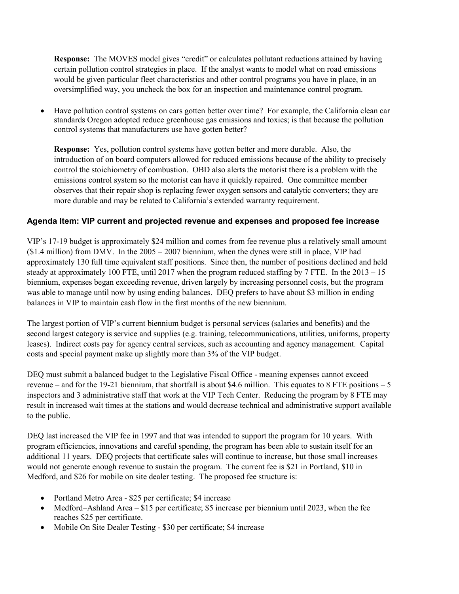**Response:** The MOVES model gives "credit" or calculates pollutant reductions attained by having certain pollution control strategies in place. If the analyst wants to model what on road emissions would be given particular fleet characteristics and other control programs you have in place, in an oversimplified way, you uncheck the box for an inspection and maintenance control program.

• Have pollution control systems on cars gotten better over time? For example, the California clean car standards Oregon adopted reduce greenhouse gas emissions and toxics; is that because the pollution control systems that manufacturers use have gotten better?

**Response:** Yes, pollution control systems have gotten better and more durable. Also, the introduction of on board computers allowed for reduced emissions because of the ability to precisely control the stoichiometry of combustion. OBD also alerts the motorist there is a problem with the emissions control system so the motorist can have it quickly repaired. One committee member observes that their repair shop is replacing fewer oxygen sensors and catalytic converters; they are more durable and may be related to California's extended warranty requirement.

# **Agenda Item: VIP current and projected revenue and expenses and proposed fee increase**

VIP's 17-19 budget is approximately \$24 million and comes from fee revenue plus a relatively small amount (\$1.4 million) from DMV. In the 2005 – 2007 biennium, when the dynes were still in place, VIP had approximately 130 full time equivalent staff positions. Since then, the number of positions declined and held steady at approximately 100 FTE, until 2017 when the program reduced staffing by 7 FTE. In the 2013 – 15 biennium, expenses began exceeding revenue, driven largely by increasing personnel costs, but the program was able to manage until now by using ending balances. DEQ prefers to have about \$3 million in ending balances in VIP to maintain cash flow in the first months of the new biennium.

The largest portion of VIP's current biennium budget is personal services (salaries and benefits) and the second largest category is service and supplies (e.g. training, telecommunications, utilities, uniforms, property leases). Indirect costs pay for agency central services, such as accounting and agency management. Capital costs and special payment make up slightly more than 3% of the VIP budget.

DEQ must submit a balanced budget to the Legislative Fiscal Office - meaning expenses cannot exceed revenue – and for the 19-21 biennium, that shortfall is about \$4.6 million. This equates to 8 FTE positions – 5 inspectors and 3 administrative staff that work at the VIP Tech Center. Reducing the program by 8 FTE may result in increased wait times at the stations and would decrease technical and administrative support available to the public.

DEQ last increased the VIP fee in 1997 and that was intended to support the program for 10 years. With program efficiencies, innovations and careful spending, the program has been able to sustain itself for an additional 11 years. DEQ projects that certificate sales will continue to increase, but those small increases would not generate enough revenue to sustain the program. The current fee is \$21 in Portland, \$10 in Medford, and \$26 for mobile on site dealer testing. The proposed fee structure is:

- Portland Metro Area \$25 per certificate; \$4 increase
- Medford–Ashland Area \$15 per certificate; \$5 increase per biennium until 2023, when the fee reaches \$25 per certificate.
- Mobile On Site Dealer Testing \$30 per certificate; \$4 increase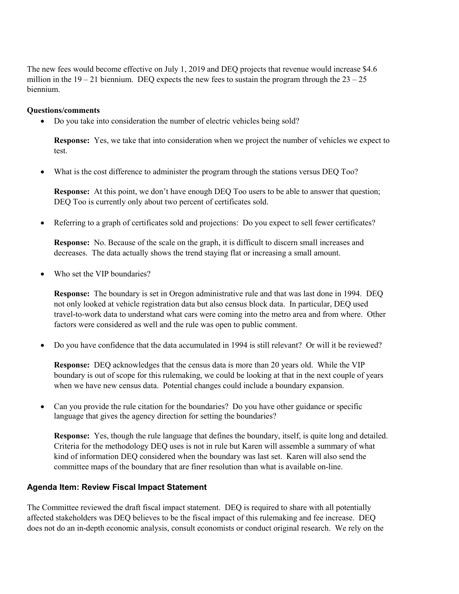The new fees would become effective on July 1, 2019 and DEQ projects that revenue would increase \$4.6 million in the  $19 - 21$  biennium. DEQ expects the new fees to sustain the program through the  $23 - 25$ biennium.

#### **Questions/comments**

• Do you take into consideration the number of electric vehicles being sold?

**Response:** Yes, we take that into consideration when we project the number of vehicles we expect to test.

• What is the cost difference to administer the program through the stations versus DEQ Too?

**Response:** At this point, we don't have enough DEO Too users to be able to answer that question; DEQ Too is currently only about two percent of certificates sold.

• Referring to a graph of certificates sold and projections: Do you expect to sell fewer certificates?

**Response:** No. Because of the scale on the graph, it is difficult to discern small increases and decreases. The data actually shows the trend staying flat or increasing a small amount.

Who set the VIP boundaries?

**Response:** The boundary is set in Oregon administrative rule and that was last done in 1994. DEQ not only looked at vehicle registration data but also census block data. In particular, DEQ used travel-to-work data to understand what cars were coming into the metro area and from where. Other factors were considered as well and the rule was open to public comment.

• Do you have confidence that the data accumulated in 1994 is still relevant? Or will it be reviewed?

**Response:** DEQ acknowledges that the census data is more than 20 years old. While the VIP boundary is out of scope for this rulemaking, we could be looking at that in the next couple of years when we have new census data. Potential changes could include a boundary expansion.

• Can you provide the rule citation for the boundaries? Do you have other guidance or specific language that gives the agency direction for setting the boundaries?

**Response:** Yes, though the rule language that defines the boundary, itself, is quite long and detailed. Criteria for the methodology DEQ uses is not in rule but Karen will assemble a summary of what kind of information DEQ considered when the boundary was last set. Karen will also send the committee maps of the boundary that are finer resolution than what is available on-line.

# **Agenda Item: Review Fiscal Impact Statement**

The Committee reviewed the draft fiscal impact statement. DEQ is required to share with all potentially affected stakeholders was DEQ believes to be the fiscal impact of this rulemaking and fee increase. DEQ does not do an in-depth economic analysis, consult economists or conduct original research. We rely on the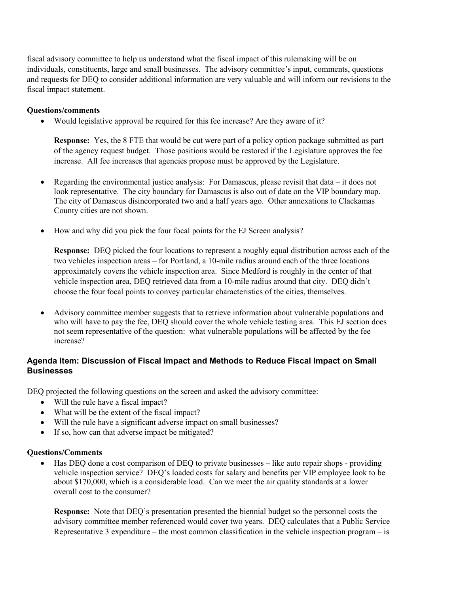fiscal advisory committee to help us understand what the fiscal impact of this rulemaking will be on individuals, constituents, large and small businesses. The advisory committee's input, comments, questions and requests for DEQ to consider additional information are very valuable and will inform our revisions to the fiscal impact statement.

#### **Questions/comments**

• Would legislative approval be required for this fee increase? Are they aware of it?

**Response:** Yes, the 8 FTE that would be cut were part of a policy option package submitted as part of the agency request budget. Those positions would be restored if the Legislature approves the fee increase. All fee increases that agencies propose must be approved by the Legislature.

- Regarding the environmental justice analysis: For Damascus, please revisit that data it does not look representative. The city boundary for Damascus is also out of date on the VIP boundary map. The city of Damascus disincorporated two and a half years ago. Other annexations to Clackamas County cities are not shown.
- How and why did you pick the four focal points for the EJ Screen analysis?

**Response:** DEQ picked the four locations to represent a roughly equal distribution across each of the two vehicles inspection areas – for Portland, a 10-mile radius around each of the three locations approximately covers the vehicle inspection area. Since Medford is roughly in the center of that vehicle inspection area, DEQ retrieved data from a 10-mile radius around that city. DEQ didn't choose the four focal points to convey particular characteristics of the cities, themselves.

• Advisory committee member suggests that to retrieve information about vulnerable populations and who will have to pay the fee, DEQ should cover the whole vehicle testing area. This EJ section does not seem representative of the question: what vulnerable populations will be affected by the fee increase?

# **Agenda Item: Discussion of Fiscal Impact and Methods to Reduce Fiscal Impact on Small Businesses**

DEQ projected the following questions on the screen and asked the advisory committee:

- Will the rule have a fiscal impact?
- What will be the extent of the fiscal impact?
- Will the rule have a significant adverse impact on small businesses?
- If so, how can that adverse impact be mitigated?

#### **Questions/Comments**

• Has DEQ done a cost comparison of DEQ to private businesses – like auto repair shops - providing vehicle inspection service? DEQ's loaded costs for salary and benefits per VIP employee look to be about \$170,000, which is a considerable load. Can we meet the air quality standards at a lower overall cost to the consumer?

**Response:** Note that DEQ's presentation presented the biennial budget so the personnel costs the advisory committee member referenced would cover two years. DEQ calculates that a Public Service Representative 3 expenditure – the most common classification in the vehicle inspection program – is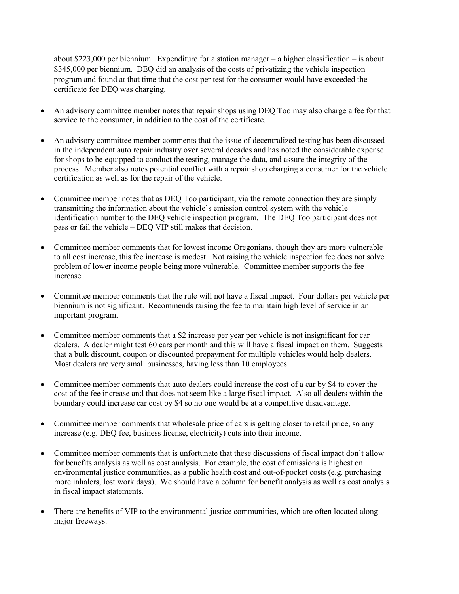about \$223,000 per biennium. Expenditure for a station manager – a higher classification – is about \$345,000 per biennium. DEQ did an analysis of the costs of privatizing the vehicle inspection program and found at that time that the cost per test for the consumer would have exceeded the certificate fee DEQ was charging.

- An advisory committee member notes that repair shops using DEQ Too may also charge a fee for that service to the consumer, in addition to the cost of the certificate.
- An advisory committee member comments that the issue of decentralized testing has been discussed in the independent auto repair industry over several decades and has noted the considerable expense for shops to be equipped to conduct the testing, manage the data, and assure the integrity of the process. Member also notes potential conflict with a repair shop charging a consumer for the vehicle certification as well as for the repair of the vehicle.
- Committee member notes that as DEQ Too participant, via the remote connection they are simply transmitting the information about the vehicle's emission control system with the vehicle identification number to the DEQ vehicle inspection program. The DEQ Too participant does not pass or fail the vehicle – DEQ VIP still makes that decision.
- Committee member comments that for lowest income Oregonians, though they are more vulnerable to all cost increase, this fee increase is modest. Not raising the vehicle inspection fee does not solve problem of lower income people being more vulnerable. Committee member supports the fee increase.
- Committee member comments that the rule will not have a fiscal impact. Four dollars per vehicle per biennium is not significant. Recommends raising the fee to maintain high level of service in an important program.
- Committee member comments that a \$2 increase per year per vehicle is not insignificant for car dealers. A dealer might test 60 cars per month and this will have a fiscal impact on them. Suggests that a bulk discount, coupon or discounted prepayment for multiple vehicles would help dealers. Most dealers are very small businesses, having less than 10 employees.
- Committee member comments that auto dealers could increase the cost of a car by \$4 to cover the cost of the fee increase and that does not seem like a large fiscal impact. Also all dealers within the boundary could increase car cost by \$4 so no one would be at a competitive disadvantage.
- Committee member comments that wholesale price of cars is getting closer to retail price, so any increase (e.g. DEQ fee, business license, electricity) cuts into their income.
- Committee member comments that is unfortunate that these discussions of fiscal impact don't allow for benefits analysis as well as cost analysis. For example, the cost of emissions is highest on environmental justice communities, as a public health cost and out-of-pocket costs (e.g. purchasing more inhalers, lost work days). We should have a column for benefit analysis as well as cost analysis in fiscal impact statements.
- There are benefits of VIP to the environmental justice communities, which are often located along major freeways.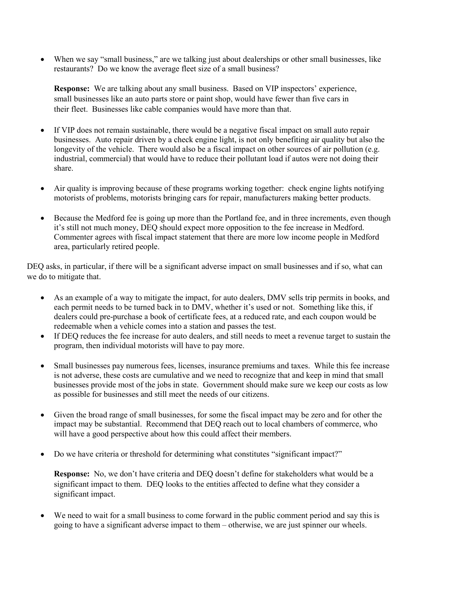When we say "small business," are we talking just about dealerships or other small businesses, like restaurants? Do we know the average fleet size of a small business?

**Response:** We are talking about any small business. Based on VIP inspectors' experience, small businesses like an auto parts store or paint shop, would have fewer than five cars in their fleet. Businesses like cable companies would have more than that.

- If VIP does not remain sustainable, there would be a negative fiscal impact on small auto repair businesses. Auto repair driven by a check engine light, is not only benefiting air quality but also the longevity of the vehicle. There would also be a fiscal impact on other sources of air pollution (e.g. industrial, commercial) that would have to reduce their pollutant load if autos were not doing their share.
- Air quality is improving because of these programs working together: check engine lights notifying motorists of problems, motorists bringing cars for repair, manufacturers making better products.
- Because the Medford fee is going up more than the Portland fee, and in three increments, even though it's still not much money, DEQ should expect more opposition to the fee increase in Medford. Commenter agrees with fiscal impact statement that there are more low income people in Medford area, particularly retired people.

DEQ asks, in particular, if there will be a significant adverse impact on small businesses and if so, what can we do to mitigate that.

- As an example of a way to mitigate the impact, for auto dealers, DMV sells trip permits in books, and each permit needs to be turned back in to DMV, whether it's used or not. Something like this, if dealers could pre-purchase a book of certificate fees, at a reduced rate, and each coupon would be redeemable when a vehicle comes into a station and passes the test.
- If DEQ reduces the fee increase for auto dealers, and still needs to meet a revenue target to sustain the program, then individual motorists will have to pay more.
- Small businesses pay numerous fees, licenses, insurance premiums and taxes. While this fee increase is not adverse, these costs are cumulative and we need to recognize that and keep in mind that small businesses provide most of the jobs in state. Government should make sure we keep our costs as low as possible for businesses and still meet the needs of our citizens.
- Given the broad range of small businesses, for some the fiscal impact may be zero and for other the impact may be substantial. Recommend that DEQ reach out to local chambers of commerce, who will have a good perspective about how this could affect their members.
- Do we have criteria or threshold for determining what constitutes "significant impact?"

**Response:** No, we don't have criteria and DEQ doesn't define for stakeholders what would be a significant impact to them. DEQ looks to the entities affected to define what they consider a significant impact.

We need to wait for a small business to come forward in the public comment period and say this is going to have a significant adverse impact to them – otherwise, we are just spinner our wheels.